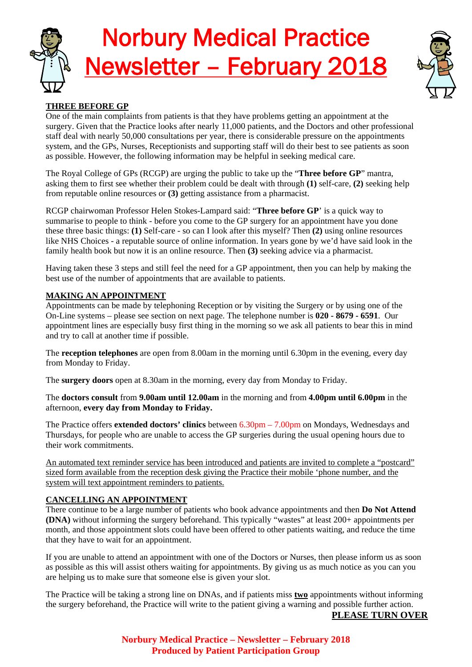



# **THREE BEFORE GP**

One of the main complaints from patients is that they have problems getting an appointment at the surgery. Given that the Practice looks after nearly 11,000 patients, and the Doctors and other professional staff deal with nearly 50,000 consultations per year, there is considerable pressure on the appointments system, and the GPs, Nurses, Receptionists and supporting staff will do their best to see patients as soon as possible. However, the following information may be helpful in seeking medical care.

The Royal College of GPs (RCGP) are urging the public to take up the "**Three before GP**" mantra, asking them to first see whether their problem could be dealt with through **(1)** self-care, **(2)** seeking help from reputable online resources or **(3)** getting assistance from a pharmacist.

RCGP chairwoman Professor Helen Stokes-Lampard said: "**Three before GP**' is a quick way to summarise to people to think - before you come to the GP surgery for an appointment have you done these three basic things: **(1)** Self-care - so can I look after this myself? Then **(2)** using online resources like NHS Choices - a reputable source of online information. In years gone by we'd have said look in the family health book but now it is an online resource. Then **(3)** seeking advice via a pharmacist.

Having taken these 3 steps and still feel the need for a GP appointment, then you can help by making the best use of the number of appointments that are available to patients.

## **MAKING AN APPOINTMENT**

Appointments can be made by telephoning Reception or by visiting the Surgery or by using one of the On-Line systems – please see section on next page. The telephone number is **020 - 8679 - 6591**. Our appointment lines are especially busy first thing in the morning so we ask all patients to bear this in mind and try to call at another time if possible.

The **reception telephones** are open from 8.00am in the morning until 6.30pm in the evening, every day from Monday to Friday.

The **surgery doors** open at 8.30am in the morning, every day from Monday to Friday.

The **doctors consult** from **9.00am until 12.00am** in the morning and from **4.00pm until 6.00pm** in the afternoon, **every day from Monday to Friday.**

The Practice offers **extended doctors' clinics** between 6.30pm – 7.00pm on Mondays, Wednesdays and Thursdays, for people who are unable to access the GP surgeries during the usual opening hours due to their work commitments.

An automated text reminder service has been introduced and patients are invited to complete a "postcard" sized form available from the reception desk giving the Practice their mobile 'phone number, and the system will text appointment reminders to patients.

### **CANCELLING AN APPOINTMENT**

There continue to be a large number of patients who book advance appointments and then **Do Not Attend (DNA)** without informing the surgery beforehand. This typically "wastes" at least 200+ appointments per month, and those appointment slots could have been offered to other patients waiting, and reduce the time that they have to wait for an appointment.

If you are unable to attend an appointment with one of the Doctors or Nurses, then please inform us as soon as possible as this will assist others waiting for appointments. By giving us as much notice as you can you are helping us to make sure that someone else is given your slot.

The Practice will be taking a strong line on DNAs, and if patients miss **two** appointments without informing the surgery beforehand, the Practice will write to the patient giving a warning and possible further action.

## **PLEASE TURN OVER**

**Norbury Medical Practice – Newsletter – February 2018 Produced by Patient Participation Group**